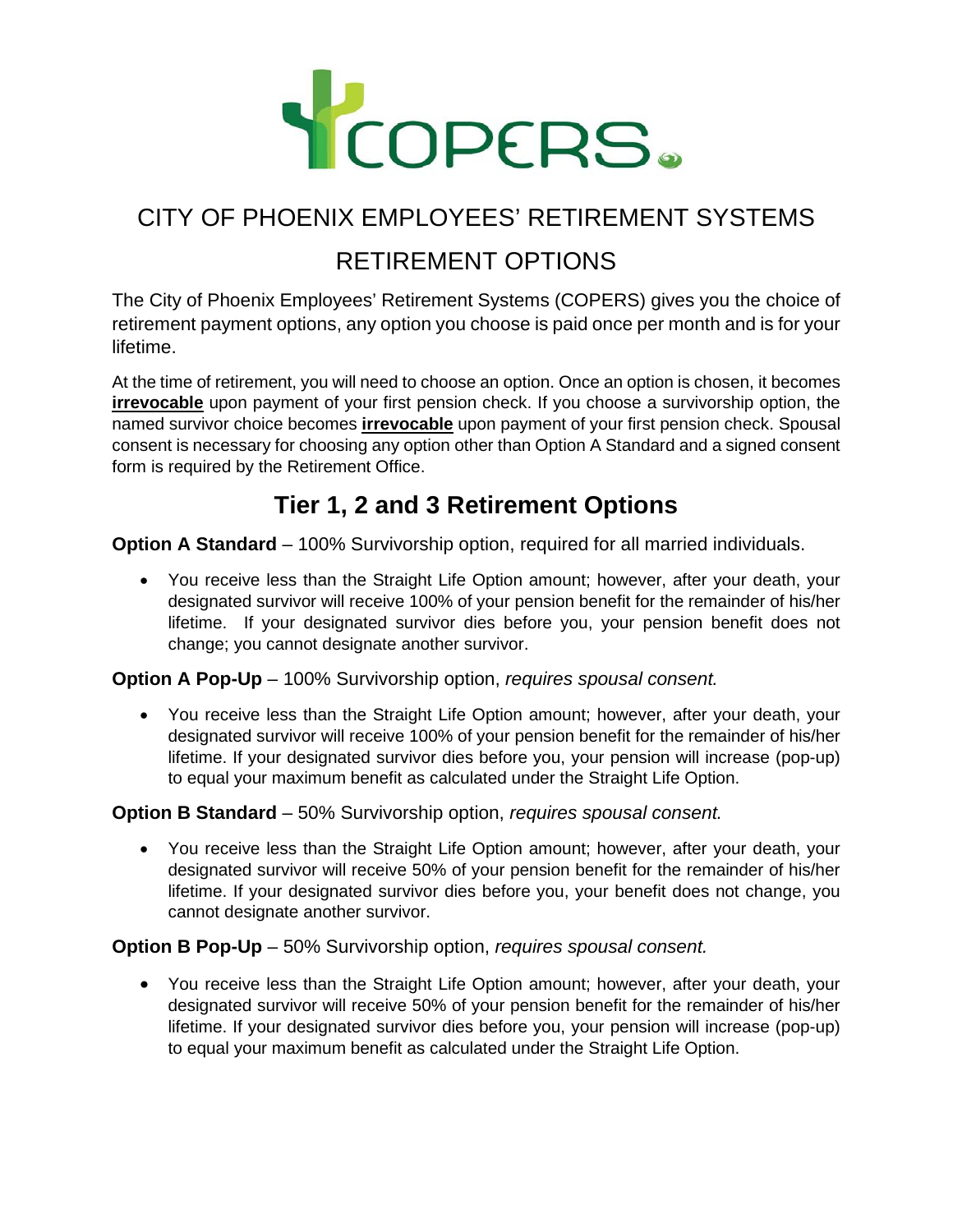

## CITY OF PHOENIX EMPLOYEES' RETIREMENT SYSTEMS

### RETIREMENT OPTIONS

The City of Phoenix Employees' Retirement Systems (COPERS) gives you the choice of retirement payment options, any option you choose is paid once per month and is for your lifetime.

At the time of retirement, you will need to choose an option. Once an option is chosen, it becomes **irrevocable** upon payment of your first pension check. If you choose a survivorship option, the named survivor choice becomes **irrevocable** upon payment of your first pension check. Spousal consent is necessary for choosing any option other than Option A Standard and a signed consent form is required by the Retirement Office.

### **Tier 1, 2 and 3 Retirement Options**

**Option A Standard** – 100% Survivorship option, required for all married individuals.

• You receive less than the Straight Life Option amount; however, after your death, your designated survivor will receive 100% of your pension benefit for the remainder of his/her lifetime. If your designated survivor dies before you, your pension benefit does not change; you cannot designate another survivor.

**Option A Pop-Up** – 100% Survivorship option, *requires spousal consent.*

• You receive less than the Straight Life Option amount; however, after your death, your designated survivor will receive 100% of your pension benefit for the remainder of his/her lifetime. If your designated survivor dies before you, your pension will increase (pop-up) to equal your maximum benefit as calculated under the Straight Life Option.

#### **Option B Standard** – 50% Survivorship option, *requires spousal consent.*

• You receive less than the Straight Life Option amount; however, after your death, your designated survivor will receive 50% of your pension benefit for the remainder of his/her lifetime. If your designated survivor dies before you, your benefit does not change, you cannot designate another survivor.

#### **Option B Pop-Up** – 50% Survivorship option, *requires spousal consent.*

• You receive less than the Straight Life Option amount; however, after your death, your designated survivor will receive 50% of your pension benefit for the remainder of his/her lifetime. If your designated survivor dies before you, your pension will increase (pop-up) to equal your maximum benefit as calculated under the Straight Life Option.